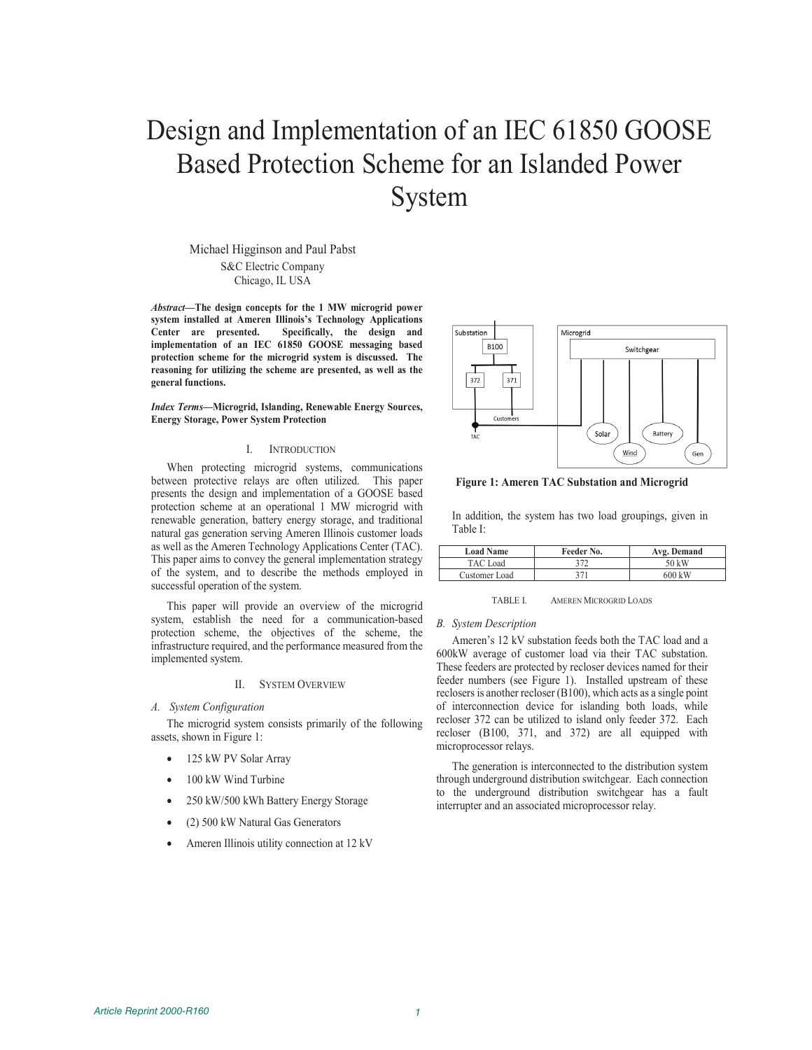# Design and Implementation of an IEC 61850 GOOSE Based Protection Scheme for an Islanded Power System

Michael Higginson and Paul Pabst

S&C Electric Company Chicago, IL USA

*Abstract***—The design concepts for the 1 MW microgrid power system installed at Ameren Illinois's Technology Applications Center are presented. Specifically, the design and implementation of an IEC 61850 GOOSE messaging based protection scheme for the microgrid system is discussed. The reasoning for utilizing the scheme are presented, as well as the general functions.**

*Index Terms***—Microgrid, Islanding, Renewable Energy Sources, Energy Storage, Power System Protection**

## I. INTRODUCTION

When protecting microgrid systems, communications between protective relays are often utilized. This paper presents the design and implementation of a GOOSE based protection scheme at an operational 1 MW microgrid with renewable generation, battery energy storage, and traditional natural gas generation serving Ameren Illinois customer loads as well as the Ameren Technology Applications Center (TAC). This paper aims to convey the general implementation strategy of the system, and to describe the methods employed in successful operation of the system.

This paper will provide an overview of the microgrid system, establish the need for a communication-based protection scheme, the objectives of the scheme, the infrastructure required, and the performance measured from the implemented system.

## II. SYSTEM OVERVIEW

## *A. System Configuration*

The microgrid system consists primarily of the following assets, shown in Figure 1:

- 125 kW PV Solar Array
- 100 kW Wind Turbine
- 250 kW/500 kWh Battery Energy Storage
- (2) 500 kW Natural Gas Generators
- Ameren Illinois utility connection at 12 kV



**Figure 1: Ameren TAC Substation and Microgrid**

In addition, the system has two load groupings, given in Table I:

| <b>Load Name</b> | Feeder No. | Avg. Demand |
|------------------|------------|-------------|
| TAC Load         |            | 50 kW       |
| Customer Load    | 271        | 600 kW      |

TABLE I. AMEREN MICROGRID LOADS

# *B. System Description*

Ameren's 12 kV substation feeds both the TAC load and a 600kW average of customer load via their TAC substation. These feeders are protected by recloser devices named for their feeder numbers (see Figure 1). Installed upstream of these reclosers is another recloser (B100), which acts as a single point of interconnection device for islanding both loads, while recloser 372 can be utilized to island only feeder 372. Each recloser (B100, 371, and 372) are all equipped with microprocessor relays.

The generation is interconnected to the distribution system through underground distribution switchgear. Each connection to the underground distribution switchgear has a fault interrupter and an associated microprocessor relay.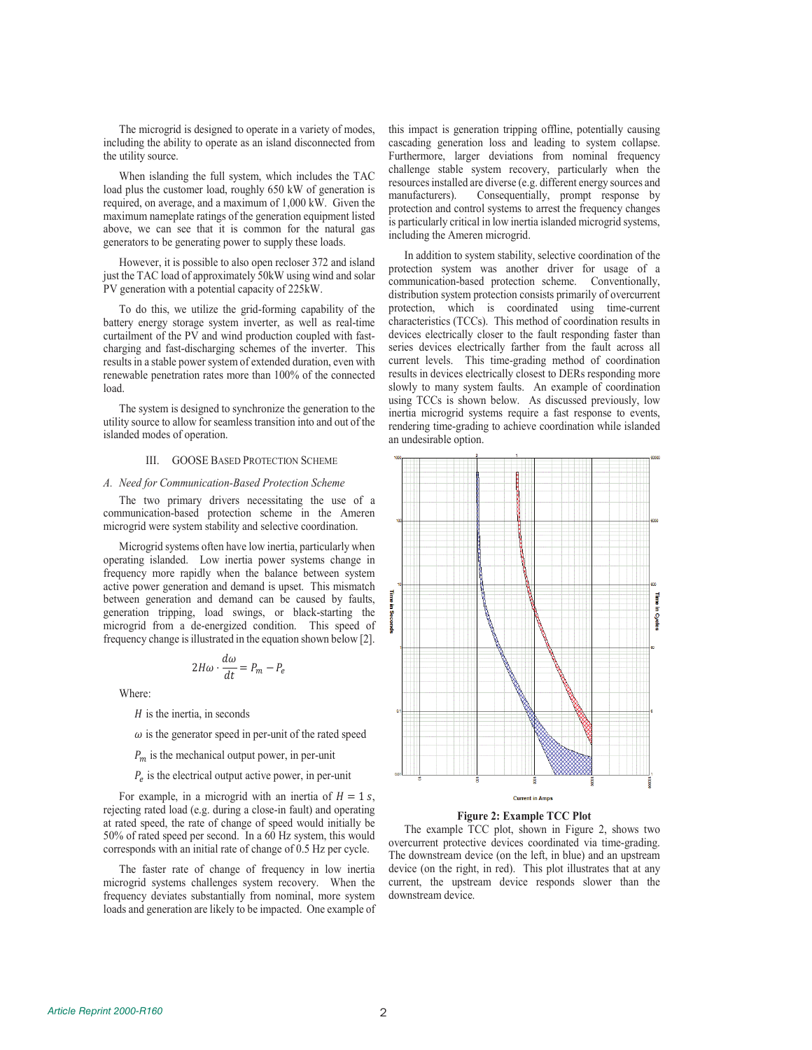The microgrid is designed to operate in a variety of modes, including the ability to operate as an island disconnected from the utility source.

When islanding the full system, which includes the TAC load plus the customer load, roughly 650 kW of generation is required, on average, and a maximum of 1,000 kW. Given the maximum nameplate ratings of the generation equipment listed above, we can see that it is common for the natural gas generators to be generating power to supply these loads.

However, it is possible to also open recloser 372 and island just the TAC load of approximately 50kW using wind and solar PV generation with a potential capacity of 225kW.

To do this, we utilize the grid-forming capability of the battery energy storage system inverter, as well as real-time curtailment of the PV and wind production coupled with fastcharging and fast-discharging schemes of the inverter. This results in a stable power system of extended duration, even with renewable penetration rates more than 100% of the connected load.

The system is designed to synchronize the generation to the utility source to allow for seamless transition into and out of the islanded modes of operation.

# III. GOOSE BASED PROTECTION SCHEME

#### *A. Need for Communication-Based Protection Scheme*

The two primary drivers necessitating the use of a communication-based protection scheme in the Ameren microgrid were system stability and selective coordination.

Microgrid systems often have low inertia, particularly when operating islanded. Low inertia power systems change in frequency more rapidly when the balance between system active power generation and demand is upset. This mismatch between generation and demand can be caused by faults, generation tripping, load swings, or black-starting the microgrid from a de-energized condition. This speed of frequency change is illustrated in the equation shown below [2].

$$
2H\omega \cdot \frac{d\omega}{dt} = P_m - P_e
$$

Where:

 $H$  is the inertia, in seconds

 $\omega$  is the generator speed in per-unit of the rated speed

 $P_m$  is the mechanical output power, in per-unit

 $P_e$  is the electrical output active power, in per-unit

For example, in a microgrid with an inertia of  $H = 1$  s, rejecting rated load (e.g. during a close-in fault) and operating at rated speed, the rate of change of speed would initially be 50% of rated speed per second. In a 60 Hz system, this would corresponds with an initial rate of change of 0.5 Hz per cycle.

The faster rate of change of frequency in low inertia microgrid systems challenges system recovery. When the frequency deviates substantially from nominal, more system loads and generation are likely to be impacted. One example of

this impact is generation tripping offline, potentially causing cascading generation loss and leading to system collapse. Furthermore, larger deviations from nominal frequency challenge stable system recovery, particularly when the resources installed are diverse (e.g. different energy sources and manufacturers). Consequentially, prompt response by protection and control systems to arrest the frequency changes is particularly critical in low inertia islanded microgrid systems, including the Ameren microgrid.

In addition to system stability, selective coordination of the protection system was another driver for usage of a communication-based protection scheme. Conventionally, distribution system protection consists primarily of overcurrent protection, which is coordinated using time-current characteristics (TCCs). This method of coordination results in devices electrically closer to the fault responding faster than series devices electrically farther from the fault across all current levels. This time-grading method of coordination results in devices electrically closest to DERs responding more slowly to many system faults. An example of coordination using TCCs is shown below. As discussed previously, low inertia microgrid systems require a fast response to events, rendering time-grading to achieve coordination while islanded an undesirable option.



### **Figure 2: Example TCC Plot**

The example TCC plot, shown in Figure 2, shows two overcurrent protective devices coordinated via time-grading. The downstream device (on the left, in blue) and an upstream device (on the right, in red). This plot illustrates that at any current, the upstream device responds slower than the downstream device.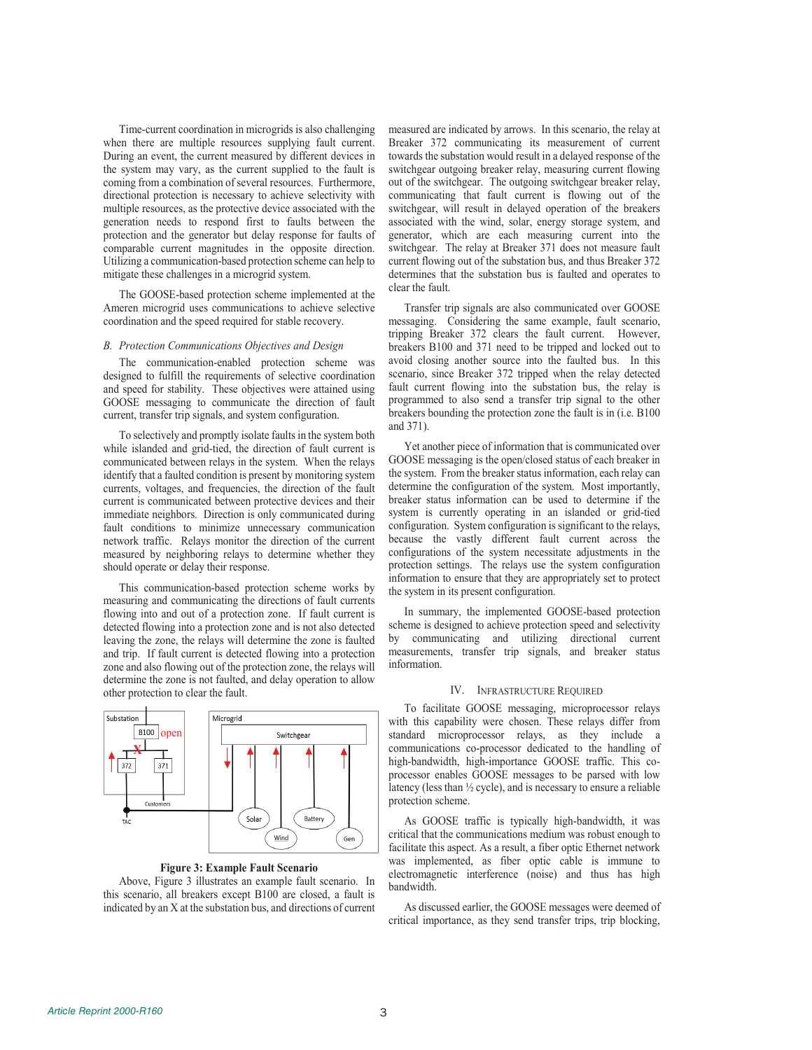Time-current coordination in microgrids is also challenging when there are multiple resources supplying fault current. During an event, the current measured by different devices in the system may vary, as the current supplied to the fault is coming from a combination of several resources. Furthermore, directional protection is necessary to achieve selectivity with multiple resources, as the protective device associated with the generation needs to respond first to faults between the protection and the generator but delay response for faults of comparable current magnitudes in the opposite direction. Utilizing a communication-based protection scheme can help to mitigate these challenges in a microgrid system.

The GOOSE-based protection scheme implemented at the Ameren microgrid uses communications to achieve selective coordination and the speed required for stable recovery.

## *B. Protection Communications Objectives and Design*

The communication-enabled protection scheme was designed to fulfill the requirements of selective coordination and speed for stability. These objectives were attained using GOOSE messaging to communicate the direction of fault current, transfer trip signals, and system configuration.

To selectively and promptly isolate faults in the system both while islanded and grid-tied, the direction of fault current is communicated between relays in the system. When the relays identify that a faulted condition is present by monitoring system currents, voltages, and frequencies, the direction of the fault current is communicated between protective devices and their immediate neighbors. Direction is only communicated during fault conditions to minimize unnecessary communication network traffic. Relays monitor the direction of the current measured by neighboring relays to determine whether they should operate or delay their response.

This communication-based protection scheme works by measuring and communicating the directions of fault currents flowing into and out of a protection zone. If fault current is detected flowing into a protection zone and is not also detected leaving the zone, the relays will determine the zone is faulted and trip. If fault current is detected flowing into a protection zone and also flowing out of the protection zone, the relays will determine the zone is not faulted, and delay operation to allow other protection to clear the fault.



# **Figure 3: Example Fault Scenario**

Above, Figure 3 illustrates an example fault scenario. In this scenario, all breakers except B100 are closed, a fault is indicated by an X at the substation bus, and directions of current measured are indicated by arrows. In this scenario, the relay at Breaker 372 communicating its measurement of current towards the substation would result in a delayed response of the switchgear outgoing breaker relay, measuring current flowing out of the switchgear. The outgoing switchgear breaker relay, communicating that fault current is flowing out of the switchgear, will result in delayed operation of the breakers associated with the wind, solar, energy storage system, and generator, which are each measuring current into the switchgear. The relay at Breaker 371 does not measure fault current flowing out of the substation bus, and thus Breaker 372 determines that the substation bus is faulted and operates to clear the fault.

Transfer trip signals are also communicated over GOOSE messaging. Considering the same example, fault scenario, tripping Breaker 372 clears the fault current. However, breakers B100 and 371 need to be tripped and locked out to avoid closing another source into the faulted bus. In this scenario, since Breaker 372 tripped when the relay detected fault current flowing into the substation bus, the relay is programmed to also send a transfer trip signal to the other breakers bounding the protection zone the fault is in (i.e. B100 and 371).

Yet another piece of information that is communicated over GOOSE messaging is the open/closed status of each breaker in the system. From the breaker status information, each relay can determine the configuration of the system. Most importantly, breaker status information can be used to determine if the system is currently operating in an islanded or grid-tied configuration. System configuration is significant to the relays, because the vastly different fault current across the configurations of the system necessitate adjustments in the protection settings. The relays use the system configuration information to ensure that they are appropriately set to protect the system in its present configuration.

In summary, the implemented GOOSE-based protection scheme is designed to achieve protection speed and selectivity by communicating and utilizing directional current measurements, transfer trip signals, and breaker status information.

# IV. INFRASTRUCTURE REQUIRED

To facilitate GOOSE messaging, microprocessor relays with this capability were chosen. These relays differ from standard microprocessor relays, as they include a communications co-processor dedicated to the handling of high-bandwidth, high-importance GOOSE traffic. This coprocessor enables GOOSE messages to be parsed with low latency (less than ½ cycle), and is necessary to ensure a reliable protection scheme.

As GOOSE traffic is typically high-bandwidth, it was critical that the communications medium was robust enough to facilitate this aspect. As a result, a fiber optic Ethernet network was implemented, as fiber optic cable is immune to electromagnetic interference (noise) and thus has high bandwidth.

As discussed earlier, the GOOSE messages were deemed of critical importance, as they send transfer trips, trip blocking,